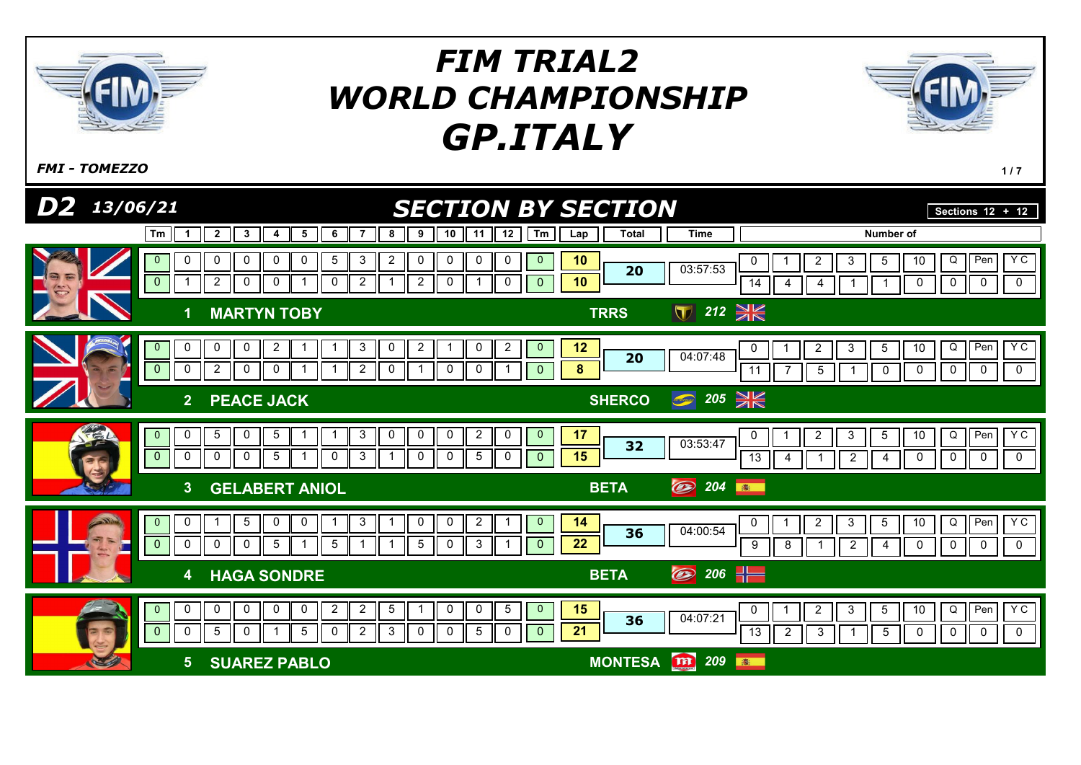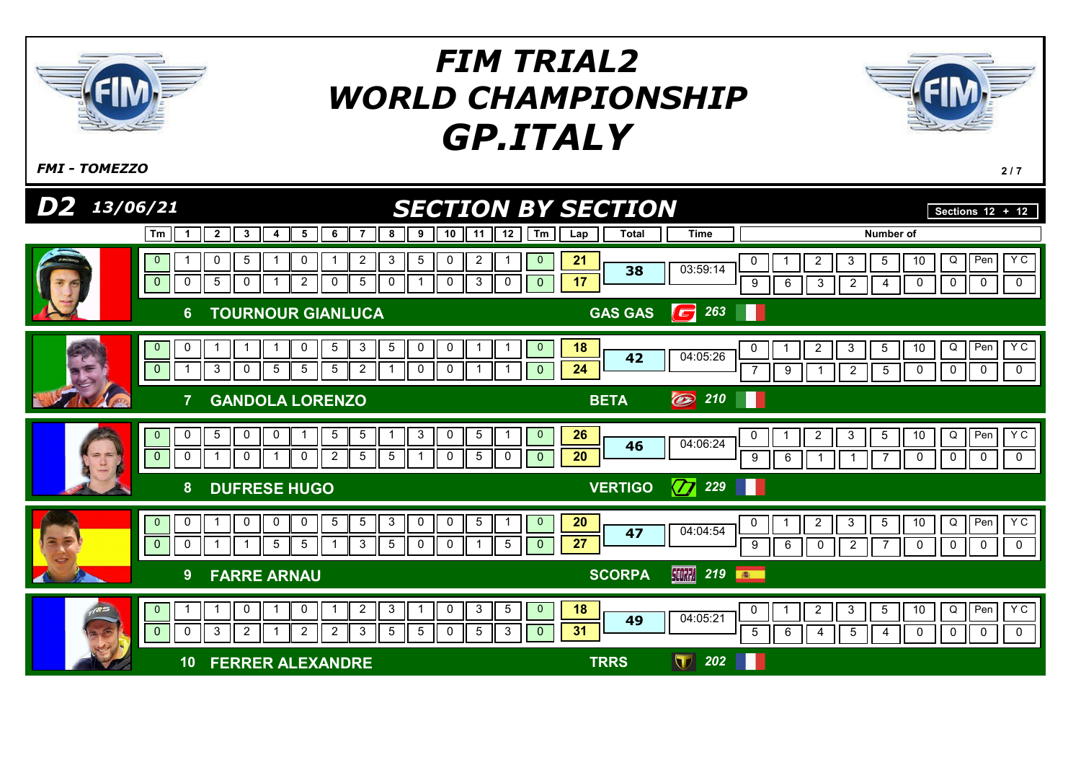

 $F$ MI - TOMEZZO  $2/7$ 

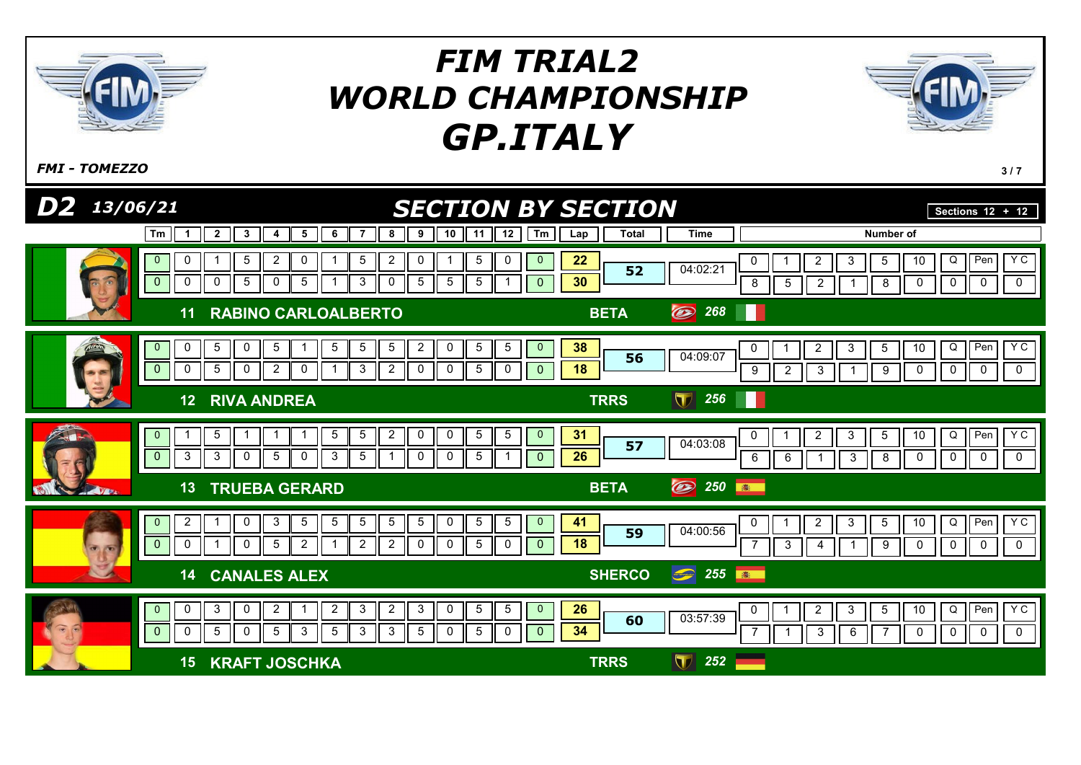

 $F$ MI - TOMEZZO  $3/7$ 

| D <sub>2</sub><br>13/06/21                                    | <b>SECTION BY SECTION</b>                                                                                                                                                                                                                                                 | Sections $12 + 12$  |                                |                                                                                                                                                                                                    |
|---------------------------------------------------------------|---------------------------------------------------------------------------------------------------------------------------------------------------------------------------------------------------------------------------------------------------------------------------|---------------------|--------------------------------|----------------------------------------------------------------------------------------------------------------------------------------------------------------------------------------------------|
| Tm<br>$\mathbf 1$                                             | $\overline{2}$<br>8<br>$\mathbf{3}$<br>$5\overline{5}$<br>6<br>$\overline{7}$<br>9<br>10<br>12<br>Tm<br>11<br>4                                                                                                                                                           | <b>Total</b><br>Lap | <b>Time</b>                    | Number of                                                                                                                                                                                          |
| 0<br>$\mathbf{0}$<br>$\pmb{0}$<br>0                           | $\sqrt{5}$<br>$\overline{c}$<br>$\boldsymbol{2}$<br>5<br>$\mathbf 0$<br>5<br>0<br>0<br>$\mathbf{0}$<br>$5\phantom{.0}$<br>3<br>$5\phantom{.0}$<br>$\overline{5}$<br>$\sqrt{5}$<br>5<br>0<br>$\mathbf 0$<br>0<br>$\overline{0}$                                            | 22<br>52<br>30      | 04:02:21                       | Y <sub>C</sub><br>Q<br>Pen<br>0<br>$\overline{\mathbf{c}}$<br>$\mathbf{3}$<br>$5\phantom{.0}$<br>10<br>$\mathbf 0$<br>$\mathbf 0$<br>$\mathbf 0$<br>8<br>$5\,$<br>$\overline{c}$<br>8<br>$\pmb{0}$ |
| 11                                                            | <b>RABINO CARLOALBERTO</b>                                                                                                                                                                                                                                                | <b>BETA</b>         | $\circledcirc$<br>268          |                                                                                                                                                                                                    |
| $\mathbf{0}$<br>0<br>$\overline{0}$<br>0                      | $\overline{2}$<br>5<br>0<br>5<br>5<br>$\sqrt{5}$<br>5<br>$\sqrt{5}$<br>5<br>$\mathbf{0}$<br>0<br>1<br>$5\phantom{.0}$<br>2<br>$\mathbf{3}$<br>$\overline{2}$<br>$5\phantom{.0}$<br>$\mathbf 0$<br>0<br>0<br>0<br>$\mathbf{0}$<br>0                                        | 38<br>56<br>18      | 04:09:07                       | Y <sub>C</sub><br>Q<br>Pen<br>$\overline{c}$<br>$\mathbf{3}$<br>$5\phantom{.0}$<br>10<br>0<br>$\mathbf 0$<br>9<br>$\overline{2}$<br>$\mathbf{3}$<br>9<br>0<br>0<br>$\mathbf 0$                     |
| 12                                                            | <b>RIVA ANDREA</b>                                                                                                                                                                                                                                                        | <b>TRRS</b>         | $\overline{\mathbf{U}}$<br>256 | ш                                                                                                                                                                                                  |
| $\mathbf{0}$<br>$\pmb{0}$<br>$\mathbf{3}$                     | $\overline{2}$<br>$\mathbf 0$<br>$5\phantom{.0}$<br>5<br>5<br>$5\overline{)}$<br>0<br>5<br>$\overline{0}$<br>-1<br>-1<br>3<br>$\mathbf 0$<br>$5\phantom{.0}$<br>$\mathbf{3}$<br>$5\phantom{.0}$<br>5<br>$\mathbf 0$<br>$\mathbf 0$<br>$\mathbf{1}$<br>0<br>$\overline{0}$ | 31<br>57<br>26      | 04:03:08                       | YC<br>$\mathbf{3}$<br>Q<br>Pen<br>$\overline{c}$<br>$5\phantom{.0}$<br>10<br>0<br>$6\phantom{1}6$<br>$\mathbf{3}$<br>$\pmb{0}$<br>$\mathbf 0$<br>$\mathbf 0$<br>$\mathbf 0$<br>6<br>8              |
| 13<br>$W$ B.                                                  | <b>TRUEBA GERARD</b>                                                                                                                                                                                                                                                      | <b>BETA</b>         | $\circledcirc$<br>250          | 高                                                                                                                                                                                                  |
| 2<br>$\mathbf{0}$<br>$\mathbf 0$<br>0<br>Posts.               | $\sqrt{5}$<br>$\sqrt{5}$<br>$\mathbf 0$<br>3<br>$5\phantom{.0}$<br>$\overline{5}$<br>$\overline{5}$<br>5<br>0<br>5<br>$\overline{0}$<br>$\mathbf 0$<br>$\overline{2}$<br>$\overline{2}$<br>$\overline{2}$<br>$\sqrt{5}$<br>5<br>0<br>0<br>0<br>$\mathbf{0}$               | 41<br>59<br>18      | 04:00:56                       | YC<br>$\overline{5}$<br>Q<br>Pen<br>$\overline{2}$<br>3<br>10<br>0<br>$\mathbf 0$<br>0<br>$\mathbf 0$<br>$\mathbf{3}$<br>9<br>0<br>$\overline{4}$                                                  |
| 14                                                            | <b>CANALES ALEX</b>                                                                                                                                                                                                                                                       | <b>SHERCO</b>       | $\bullet$ 255                  | 181                                                                                                                                                                                                |
| $\mathbf{0}$<br>0<br>$\widehat{\bullet}$<br>$\mathbf{0}$<br>0 | $\overline{2}$<br>3<br>5<br>3<br>0<br>$\overline{2}$<br>$\overline{2}$<br>$\mathbf{3}$<br>0<br>5<br>$\mathbf{0}$<br>1<br>$\overline{5}$<br>$\overline{0}$<br>5<br>3<br>$5\phantom{.0}$<br>3<br>3<br>5<br>5<br>$\mathbf 0$<br>$\Omega$<br>$\overline{0}$                   | 26<br>60<br>34      | 03:57:39                       | <b>YC</b><br>Q<br>Per<br>$\mathbf{3}$<br>$\overline{5}$<br>$\overline{a}$<br>10<br>0<br>$\overline{1}$<br>$\mathbf 0$<br>$\mathbf{3}$<br>0<br>0<br>$\mathbf 0$<br>6                                |
| 15                                                            | <b>KRAFT JOSCHKA</b>                                                                                                                                                                                                                                                      | <b>TRRS</b>         | $\mathbf \nabla$<br>252        |                                                                                                                                                                                                    |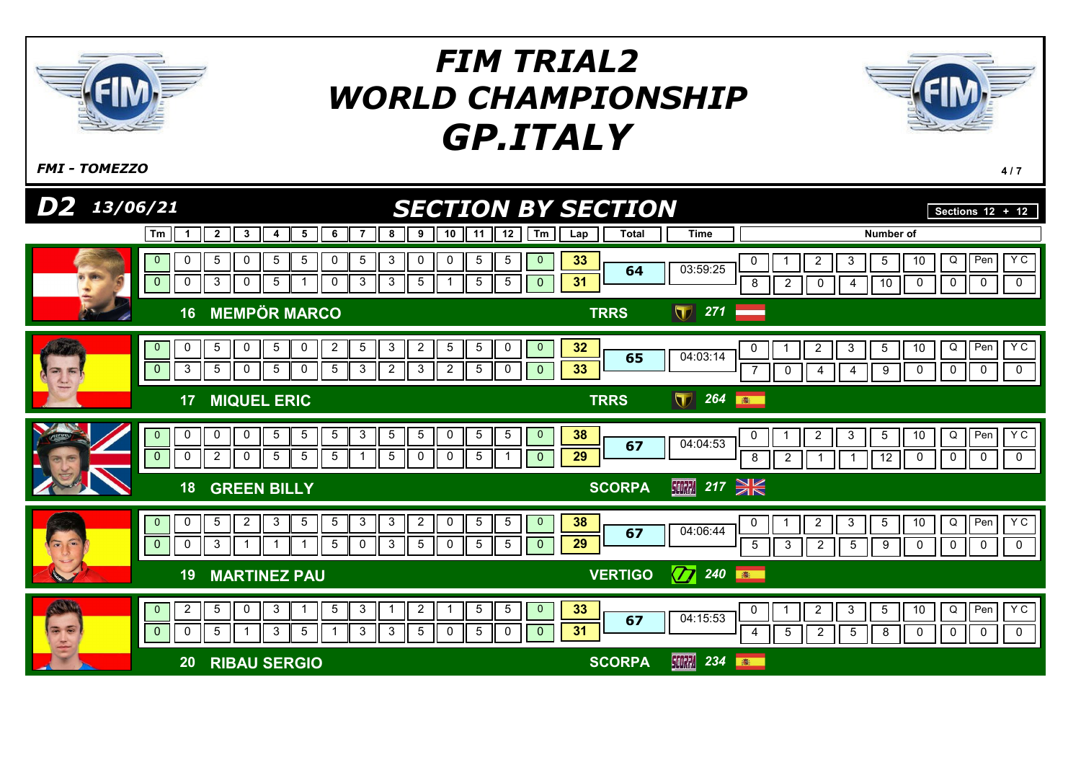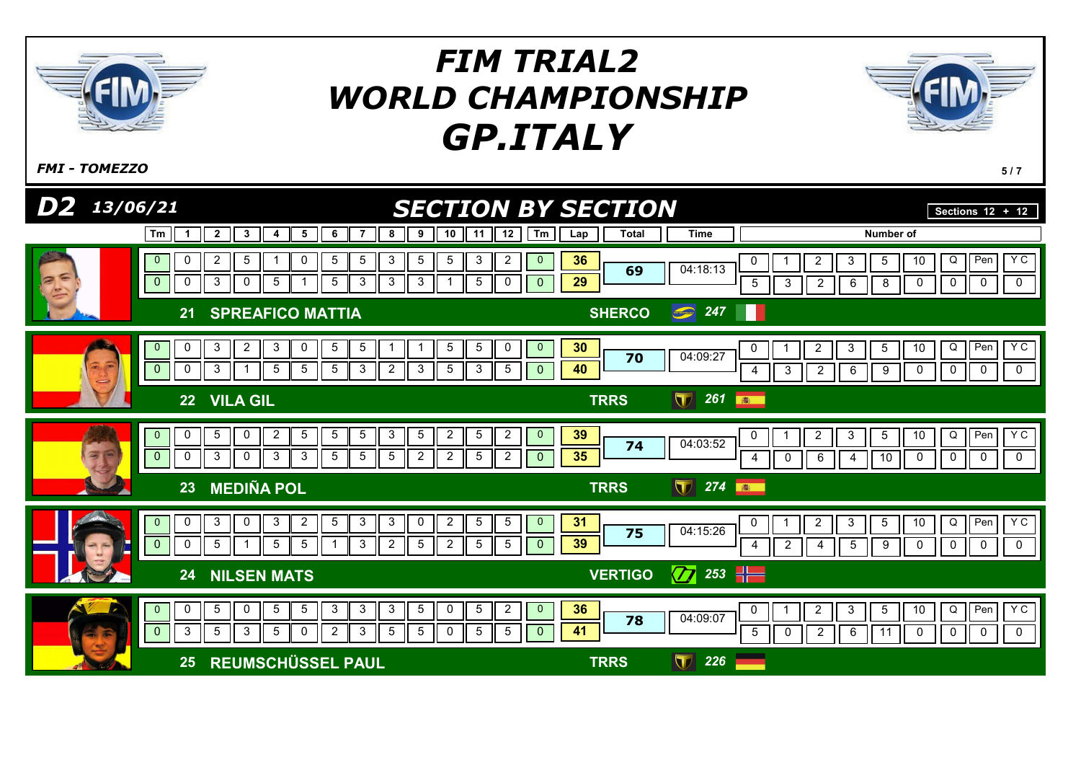

 $F$ MI - TOMEZZO 5/7

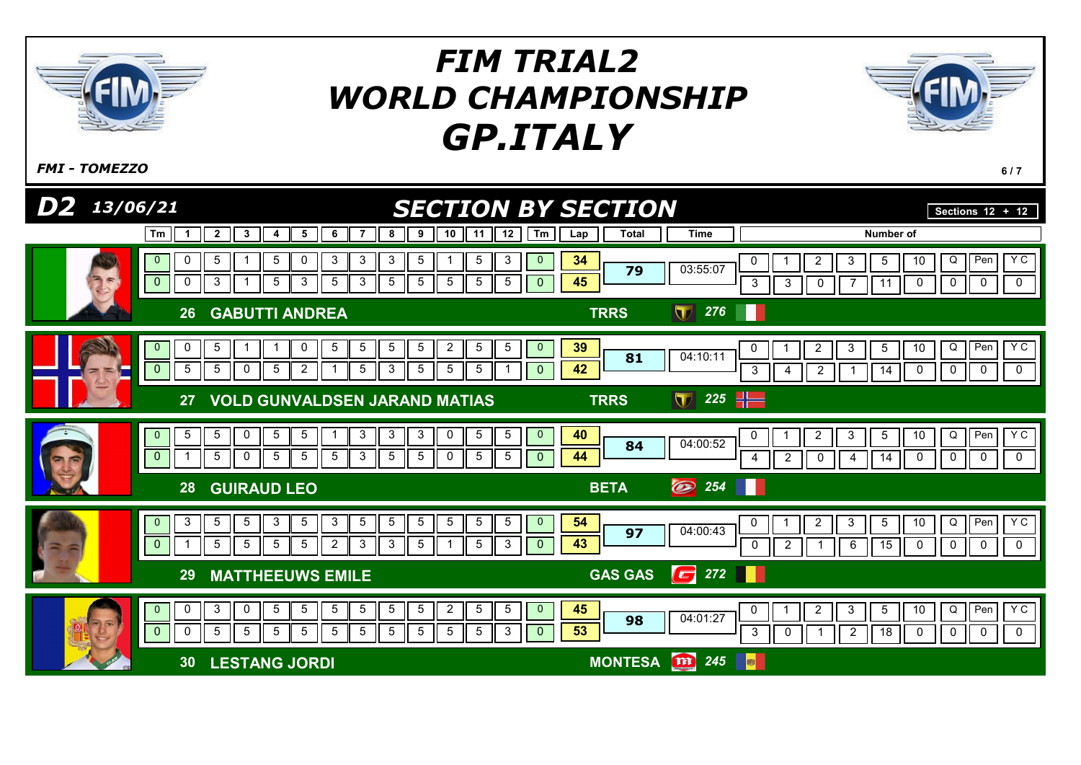



| .                          |    |                         |  |  |  |  |  |  |  |  |  |   | . . |                |                |              |                                                                        |
|----------------------------|----|-------------------------|--|--|--|--|--|--|--|--|--|---|-----|----------------|----------------|--------------|------------------------------------------------------------------------|
|                            | 29 | <b>MATTHEEUWS EMILE</b> |  |  |  |  |  |  |  |  |  |   |     |                | <b>GAS GAS</b> | $\sqrt{272}$ |                                                                        |
|                            |    |                         |  |  |  |  |  |  |  |  |  | Ш |     | 45<br>53       | 98             | 04:01:27     | Y C<br>$\mathsf{II}$ Pen $\mathsf{I}$<br>Q<br>10<br>.5<br>Ш<br>18<br>υ |
| <b>LESTANG JORDI</b><br>30 |    |                         |  |  |  |  |  |  |  |  |  |   |     | <b>MONTESA</b> | m 245          |              |                                                                        |